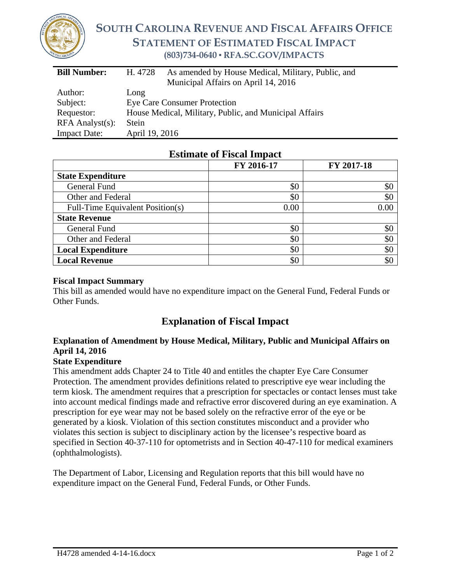

# **SOUTH CAROLINA REVENUE AND FISCAL AFFAIRS OFFICE STATEMENT OF ESTIMATED FISCAL IMPACT (803)734-0640 ▪ RFA.SC.GOV/IMPACTS**

| <b>Bill Number:</b>   | As amended by House Medical, Military, Public, and<br>H. 4728 |  |  |
|-----------------------|---------------------------------------------------------------|--|--|
|                       | Municipal Affairs on April 14, 2016                           |  |  |
| Author:               | Long                                                          |  |  |
| Subject:              | <b>Eye Care Consumer Protection</b>                           |  |  |
| Requestor:            | House Medical, Military, Public, and Municipal Affairs        |  |  |
| $RFA$ Analyst $(s)$ : | Stein                                                         |  |  |
| <b>Impact Date:</b>   | April 19, 2016                                                |  |  |

## **Estimate of Fiscal Impact**

|                                  | FY 2016-17 | FY 2017-18 |
|----------------------------------|------------|------------|
| <b>State Expenditure</b>         |            |            |
| General Fund                     | \$0        | \$0        |
| Other and Federal                | \$0        | \$0        |
| Full-Time Equivalent Position(s) | 0.00       | 0.00       |
| <b>State Revenue</b>             |            |            |
| General Fund                     | \$0        | \$0        |
| Other and Federal                | \$0        | \$0        |
| <b>Local Expenditure</b>         | \$0        | \$0        |
| <b>Local Revenue</b>             | \$0        | \$0        |

#### **Fiscal Impact Summary**

This bill as amended would have no expenditure impact on the General Fund, Federal Funds or Other Funds.

# **Explanation of Fiscal Impact**

### **Explanation of Amendment by House Medical, Military, Public and Municipal Affairs on April 14, 2016**

### **State Expenditure**

This amendment adds Chapter 24 to Title 40 and entitles the chapter Eye Care Consumer Protection. The amendment provides definitions related to prescriptive eye wear including the term kiosk. The amendment requires that a prescription for spectacles or contact lenses must take into account medical findings made and refractive error discovered during an eye examination. A prescription for eye wear may not be based solely on the refractive error of the eye or be generated by a kiosk. Violation of this section constitutes misconduct and a provider who violates this section is subject to disciplinary action by the licensee's respective board as specified in Section 40-37-110 for optometrists and in Section 40-47-110 for medical examiners (ophthalmologists).

The Department of Labor, Licensing and Regulation reports that this bill would have no expenditure impact on the General Fund, Federal Funds, or Other Funds.